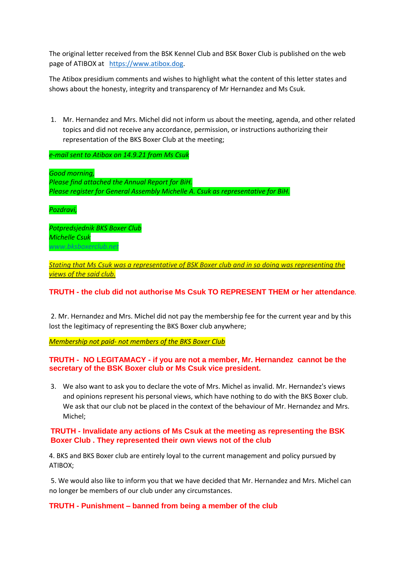The original letter received from the BSK Kennel Club and BSK Boxer Club is published on the web page of ATIBOX at [https://www.atibox.dog.](https://www.atibox.dog/)

The Atibox presidium comments and wishes to highlight what the content of this letter states and shows about the honesty, integrity and transparency of Mr Hernandez and Ms Csuk.

1. Mr. Hernandez and Mrs. Michel did not inform us about the meeting, agenda, and other related topics and did not receive any accordance, permission, or instructions authorizing their representation of the BKS Boxer Club at the meeting;

*e-mail sent to Atibox on 14.9.21 from Ms Csuk*

*Good morning, Please find attached the Annual Report for BiH. Please register for General Assembly Michelle A. Csuk as representative for BiH.* 

*Pozdravi,* 

*Potpredsjednik BKS Boxer Club Michelle Csuk [www.bksboxerclub.net](http://www.bksboxerclub.net/)*

*Stating that Ms Csuk was a representative of BSK Boxer club and in so doing was representing the views of the said club.*

## **TRUTH - the club did not authorise Ms Csuk TO REPRESENT THEM or her attendance***.*

2. Mr. Hernandez and Mrs. Michel did not pay the membership fee for the current year and by this lost the legitimacy of representing the BKS Boxer club anywhere;

*Membership not paid- not members of the BKS Boxer Club*

### **TRUTH - NO LEGITAMACY - if you are not a member, Mr. Hernandez cannot be the secretary of the BSK Boxer club or Ms Csuk vice president.**

3. We also want to ask you to declare the vote of Mrs. Michel as invalid. Mr. Hernandez's views and opinions represent his personal views, which have nothing to do with the BKS Boxer club. We ask that our club not be placed in the context of the behaviour of Mr. Hernandez and Mrs. Michel;

## **TRUTH - Invalidate any actions of Ms Csuk at the meeting as representing the BSK Boxer Club . They represented their own views not of the club**

4. BKS and BKS Boxer club are entirely loyal to the current management and policy pursued by ATIBOX;

5. We would also like to inform you that we have decided that Mr. Hernandez and Mrs. Michel can no longer be members of our club under any circumstances.

### **TRUTH - Punishment – banned from being a member of the club**